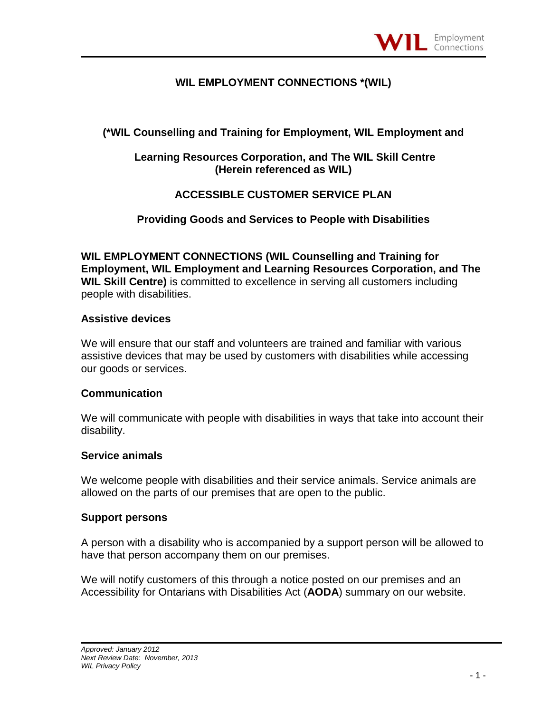### **WIL EMPLOYMENT CONNECTIONS \*(WIL)**

## **(\*WIL Counselling and Training for Employment, WIL Employment and**

### **Learning Resources Corporation, and The WIL Skill Centre (Herein referenced as WIL)**

## **ACCESSIBLE CUSTOMER SERVICE PLAN**

### **Providing Goods and Services to People with Disabilities**

**WIL EMPLOYMENT CONNECTIONS (WIL Counselling and Training for Employment, WIL Employment and Learning Resources Corporation, and The WIL Skill Centre)** is committed to excellence in serving all customers including people with disabilities.

#### **Assistive devices**

We will ensure that our staff and volunteers are trained and familiar with various assistive devices that may be used by customers with disabilities while accessing our goods or services.

#### **Communication**

We will communicate with people with disabilities in ways that take into account their disability.

#### **Service animals**

We welcome people with disabilities and their service animals. Service animals are allowed on the parts of our premises that are open to the public.

#### **Support persons**

A person with a disability who is accompanied by a support person will be allowed to have that person accompany them on our premises.

We will notify customers of this through a notice posted on our premises and an Accessibility for Ontarians with Disabilities Act (**AODA**) summary on our website.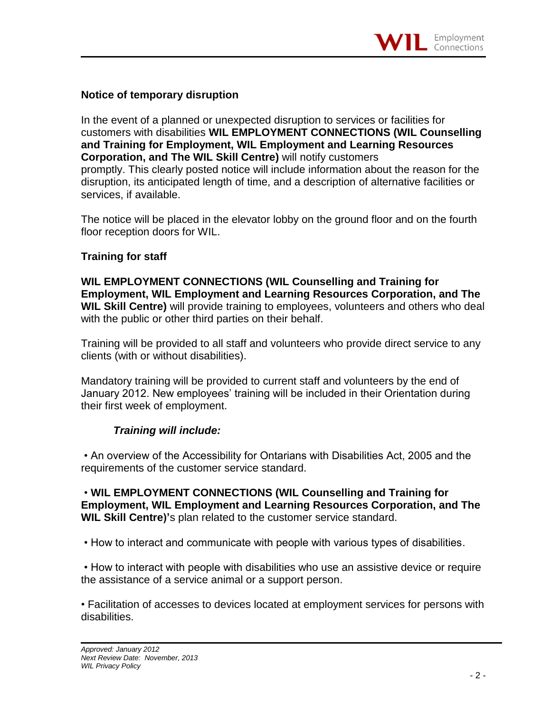### **Notice of temporary disruption**

In the event of a planned or unexpected disruption to services or facilities for customers with disabilities **WIL EMPLOYMENT CONNECTIONS (WIL Counselling and Training for Employment, WIL Employment and Learning Resources Corporation, and The WIL Skill Centre)** will notify customers promptly. This clearly posted notice will include information about the reason for the disruption, its anticipated length of time, and a description of alternative facilities or services, if available.

The notice will be placed in the elevator lobby on the ground floor and on the fourth floor reception doors for WIL.

### **Training for staff**

**WIL EMPLOYMENT CONNECTIONS (WIL Counselling and Training for Employment, WIL Employment and Learning Resources Corporation, and The WIL Skill Centre)** will provide training to employees, volunteers and others who deal with the public or other third parties on their behalf.

Training will be provided to all staff and volunteers who provide direct service to any clients (with or without disabilities).

Mandatory training will be provided to current staff and volunteers by the end of January 2012. New employees' training will be included in their Orientation during their first week of employment.

# *Training will include:*

• An overview of the Accessibility for Ontarians with Disabilities Act, 2005 and the requirements of the customer service standard.

• **WIL EMPLOYMENT CONNECTIONS (WIL Counselling and Training for Employment, WIL Employment and Learning Resources Corporation, and The WIL Skill Centre)'**s plan related to the customer service standard.

• How to interact and communicate with people with various types of disabilities.

• How to interact with people with disabilities who use an assistive device or require the assistance of a service animal or a support person.

• Facilitation of accesses to devices located at employment services for persons with disabilities.